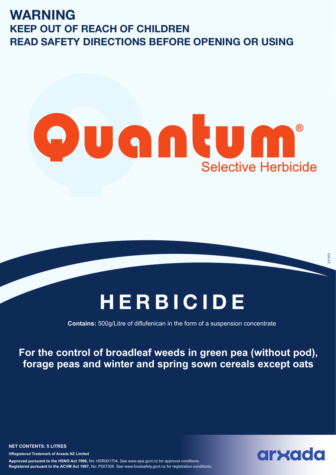### **WARNING KEEP OUT OF REACH OF CHILDREN READ SAFETY DIRECTIONS BEFORE OPENING OR USING**

## vantum ® **Selective Herbicide**

# **HERBICIDE**

**Contains:** 500g/Litre of diflufenican in the form of a suspension concentrate

**For the control of broadleaf weeds in green pea (without pod), forage peas and winter and spring sown cereals except oats**

**NET CONTENTS: 5 LITRES ®Registered Trademark of Arxada NZ Limited Approved pursuant to the HSNO Act 1996,** No: HSR001704. See www.epa.govt.nz for approval conditions. **Registered pursuant to the ACVM Act 1997,** No: P007306. See www.foodsafety.govt.nz for registration conditions.

## arxada